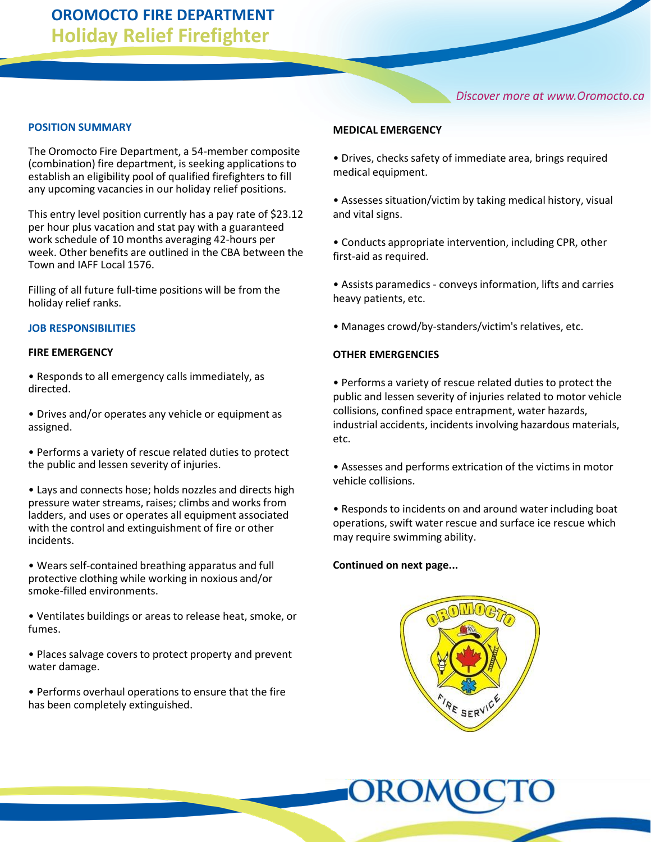Discover more at www.Oromocto.ca

### **POSITION SUMMARY**

The Oromocto Fire Department, a 54-member composite (combination) fire department, is seeking applications to establish an eligibility pool of qualified firefighters to fill any upcoming vacancies in our holiday relief positions.

This entry level position currently has a pay rate of \$23.12 per hour plus vacation and stat pay with a guaranteed work schedule of 10 months averaging 42-hours per week. Other benefits are outlined in the CBA between the Town and IAFF Local 1576.

Filling of all future full-time positions will be from the holiday relief ranks.

### **JOB RESPONSIBILITIES**

### **FIRE EMERGENCY**

• Responds to all emergency calls immediately, as directed.

• Drives and/or operates any vehicle or equipment as assigned.

• Performs a variety of rescue related duties to protect the public and lessen severity of injuries.

• Lays and connects hose; holds nozzles and directs high pressure water streams, raises; climbs and works from ladders, and uses or operates all equipment associated with the control and extinguishment of fire or other incidents.

• Wears self-contained breathing apparatus and full protective clothing while working in noxious and/or smoke-filled environments.

• Ventilates buildings or areas to release heat, smoke, or fumes.

• Places salvage covers to protect property and prevent water damage.

• Performs overhaul operations to ensure that the fire has been completely extinguished.

### **MEDICAL EMERGENCY**

• Drives, checks safety of immediate area, brings required medical equipment.

• Assesses situation/victim by taking medical history, visual and vital signs.

• Conducts appropriate intervention, including CPR, other first-aid as required.

• Assists paramedics - conveys information, lifts and carries heavy patients, etc.

• Manages crowd/by-standers/victim's relatives, etc.

### **OTHER EMERGENCIES**

• Performs a variety of rescue related duties to protect the public and lessen severity of injuries related to motor vehicle collisions, confined space entrapment, water hazards, industrial accidents, incidents involving hazardous materials, etc.

• Assesses and performs extrication of the victims in motor vehicle collisions.

• Responds to incidents on and around water including boat operations, swift water rescue and surface ice rescue which may require swimming ability.

### **Continued on next page...**

OROMC